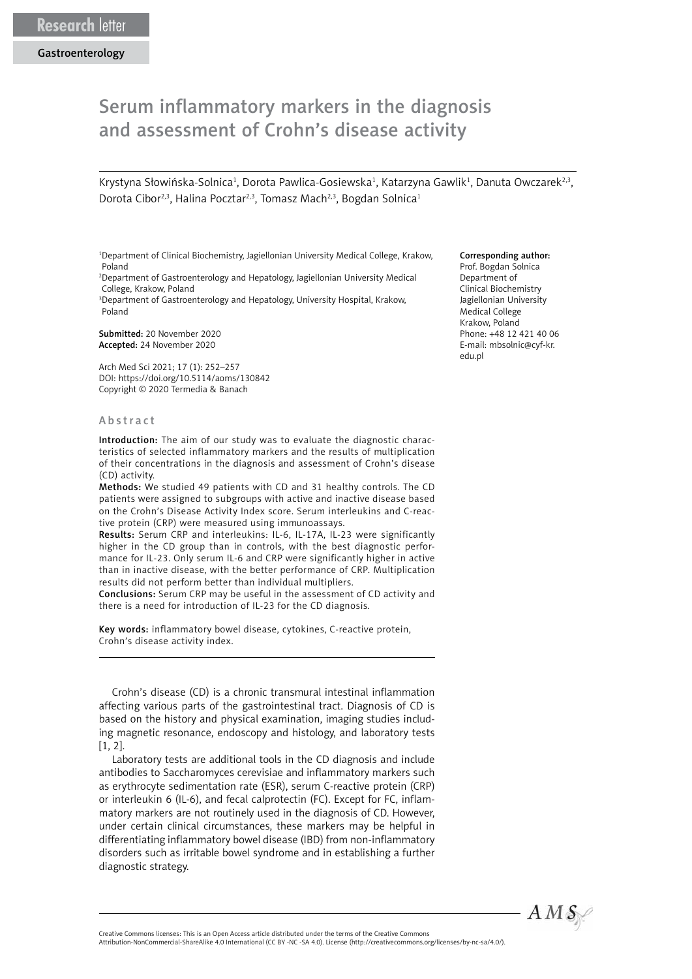## Serum inflammatory markers in the diagnosis and assessment of Crohn's disease activity

Krystyna Słowińska-Solnica<sup>1</sup>, Dorota Pawlica-Gosiewska<sup>1</sup>, Katarzyna Gawlik<sup>1</sup>, Danuta Owczarek<sup>2,3</sup>, Dorota Cibor<sup>2,3</sup>, Halina Pocztar<sup>2,3</sup>, Tomasz Mach<sup>2,3</sup>, Bogdan Solnica<sup>1</sup>

<sup>1</sup>Department of Clinical Biochemistry, Jagiellonian University Medical College, Krakow, Poland

2 Department of Gastroenterology and Hepatology, Jagiellonian University Medical College, Krakow, Poland

3 Department of Gastroenterology and Hepatology, University Hospital, Krakow, Poland

Submitted: 20 November 2020 Accepted: 24 November 2020

Arch Med Sci 2021; 17 (1): 252–257 DOI: https://doi.org/10.5114/aoms/130842 Copyright © 2020 Termedia & Banach

## Abstract

Introduction: The aim of our study was to evaluate the diagnostic characteristics of selected inflammatory markers and the results of multiplication of their concentrations in the diagnosis and assessment of Crohn's disease (CD) activity.

Methods: We studied 49 patients with CD and 31 healthy controls. The CD patients were assigned to subgroups with active and inactive disease based on the Crohn's Disease Activity Index score. Serum interleukins and C-reactive protein (CRP) were measured using immunoassays.

Results: Serum CRP and interleukins: IL-6, IL-17A, IL-23 were significantly higher in the CD group than in controls, with the best diagnostic performance for IL-23. Only serum IL-6 and CRP were significantly higher in active than in inactive disease, with the better performance of CRP. Multiplication results did not perform better than individual multipliers.

Conclusions: Serum CRP may be useful in the assessment of CD activity and there is a need for introduction of IL-23 for the CD diagnosis.

Key words: inflammatory bowel disease, cytokines, C-reactive protein, Crohn's disease activity index.

Crohn's disease (CD) is a chronic transmural intestinal inflammation affecting various parts of the gastrointestinal tract. Diagnosis of CD is based on the history and physical examination, imaging studies including magnetic resonance, endoscopy and histology, and laboratory tests [1, 2].

Laboratory tests are additional tools in the CD diagnosis and include antibodies to Saccharomyces cerevisiae and inflammatory markers such as erythrocyte sedimentation rate (ESR), serum C-reactive protein (CRP) or interleukin 6 (IL-6), and fecal calprotectin (FC). Except for FC, inflammatory markers are not routinely used in the diagnosis of CD. However, under certain clinical circumstances, these markers may be helpful in differentiating inflammatory bowel disease (IBD) from non-inflammatory disorders such as irritable bowel syndrome and in establishing a further diagnostic strategy.

## Corresponding author:

Prof. Bogdan Solnica Department of Clinical Biochemistry Jagiellonian University Medical College Krakow, Poland Phone: +48 12 421 40 06 E-mail: [mbsolnic@cyf-kr.](mailto:mbsolnic@cyf-kr.edu.pl) [edu.pl](mailto:mbsolnic@cyf-kr.edu.pl)



Attribution-NonCommercial-ShareAlike 4.0 International (CC BY -NC -SA 4.0). License (http://creativecommons.org/licenses/by-nc-sa/4.0/).

Creative Commons licenses: This is an Open Access article distributed under the terms of the Creative Commons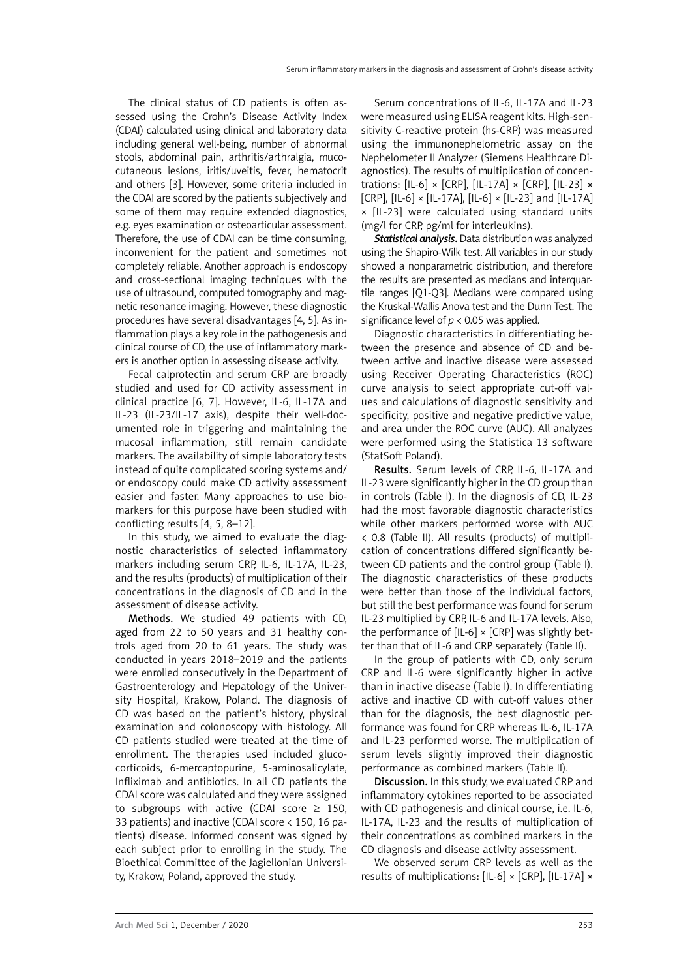The clinical status of CD patients is often assessed using the Crohn's Disease Activity Index (CDAI) calculated using clinical and laboratory data including general well-being, number of abnormal stools, abdominal pain, arthritis/arthralgia, mucocutaneous lesions, iritis/uveitis, fever, hematocrit and others [3]. However, some criteria included in the CDAI are scored by the patients subjectively and some of them may require extended diagnostics, e.g. eyes examination or osteoarticular assessment. Therefore, the use of CDAI can be time consuming, inconvenient for the patient and sometimes not completely reliable. Another approach is endoscopy and cross-sectional imaging techniques with the use of ultrasound, computed tomography and magnetic resonance imaging. However, these diagnostic procedures have several disadvantages [4, 5]. As inflammation plays a key role in the pathogenesis and clinical course of CD, the use of inflammatory markers is another option in assessing disease activity.

Fecal calprotectin and serum CRP are broadly studied and used for CD activity assessment in clinical practice [6, 7]. However, IL-6, IL-17A and IL-23 (IL-23/IL-17 axis), despite their well-documented role in triggering and maintaining the mucosal inflammation, still remain candidate markers. The availability of simple laboratory tests instead of quite complicated scoring systems and/ or endoscopy could make CD activity assessment easier and faster. Many approaches to use biomarkers for this purpose have been studied with conflicting results [4, 5, 8–12].

In this study, we aimed to evaluate the diagnostic characteristics of selected inflammatory markers including serum CRP, IL-6, IL-17A, IL-23, and the results (products) of multiplication of their concentrations in the diagnosis of CD and in the assessment of disease activity.

Methods. We studied 49 patients with CD, aged from 22 to 50 years and 31 healthy controls aged from 20 to 61 years. The study was conducted in years 2018–2019 and the patients were enrolled consecutively in the Department of Gastroenterology and Hepatology of the University Hospital, Krakow, Poland. The diagnosis of CD was based on the patient's history, physical examination and colonoscopy with histology. All CD patients studied were treated at the time of enrollment. The therapies used included glucocorticoids, 6-mercaptopurine, 5-aminosalicylate, Infliximab and antibiotics. In all CD patients the CDAI score was calculated and they were assigned to subgroups with active (CDAI score  $\geq$  150, 33 patients) and inactive (CDAI score < 150, 16 patients) disease. Informed consent was signed by each subject prior to enrolling in the study. The Bioethical Committee of the Jagiellonian University, Krakow, Poland, approved the study.

Serum concentrations of IL-6, IL-17A and IL-23 were measured using ELISA reagent kits. High-sensitivity C-reactive protein (hs-CRP) was measured using the immunonephelometric assay on the Nephelometer II Analyzer (Siemens Healthcare Diagnostics). The results of multiplication of concentrations: [IL-6] × [CRP], [IL-17A] × [CRP], [IL-23] × [CRP],  $[L-6] \times [L-17A]$ ,  $[L-6] \times [L-23]$  and  $[L-17A]$ × [IL-23] were calculated using standard units (mg/l for CRP, pg/ml for interleukins).

*Statistical analysis*. Data distribution was analyzed using the Shapiro-Wilk test. All variables in our study showed a nonparametric distribution, and therefore the results are presented as medians and interquartile ranges [Q1-Q3]. Medians were compared using the Kruskal-Wallis Anova test and the Dunn Test. The significance level of  $p < 0.05$  was applied.

Diagnostic characteristics in differentiating between the presence and absence of CD and between active and inactive disease were assessed using Receiver Operating Characteristics (ROC) curve analysis to select appropriate cut-off values and calculations of diagnostic sensitivity and specificity, positive and negative predictive value, and area under the ROC curve (AUC). All analyzes were performed using the Statistica 13 software (StatSoft Poland).

Results. Serum levels of CRP, IL-6, IL-17A and IL-23 were significantly higher in the CD group than in controls (Table I). In the diagnosis of CD, IL-23 had the most favorable diagnostic characteristics while other markers performed worse with AUC < 0.8 (Table II). All results (products) of multiplication of concentrations differed significantly between CD patients and the control group (Table I). The diagnostic characteristics of these products were better than those of the individual factors, but still the best performance was found for serum IL-23 multiplied by CRP, IL-6 and IL-17A levels. Also, the performance of  $[IL-6] \times [CRP]$  was slightly better than that of IL-6 and CRP separately (Table II).

In the group of patients with CD, only serum CRP and IL-6 were significantly higher in active than in inactive disease (Table I). In differentiating active and inactive CD with cut-off values other than for the diagnosis, the best diagnostic performance was found for CRP whereas IL-6, IL-17A and IL-23 performed worse. The multiplication of serum levels slightly improved their diagnostic performance as combined markers (Table II).

Discussion. In this study, we evaluated CRP and inflammatory cytokines reported to be associated with CD pathogenesis and clinical course, i.e. IL-6, IL-17A, IL-23 and the results of multiplication of their concentrations as combined markers in the CD diagnosis and disease activity assessment.

We observed serum CRP levels as well as the results of multiplications: [IL-6] × [CRP], [IL-17A] ×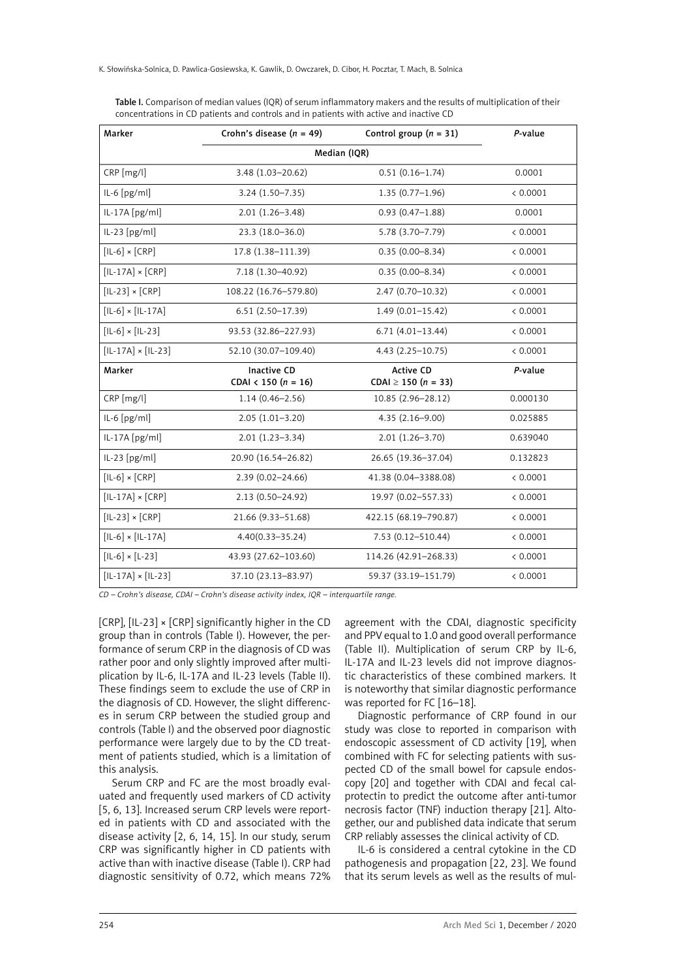| Marker                    | Crohn's disease $(n = 49)$             | Control group $(n = 31)$                     | P-value  |  |
|---------------------------|----------------------------------------|----------------------------------------------|----------|--|
|                           | Median (IQR)                           |                                              |          |  |
| CRP [mg/l]                | 3.48 (1.03-20.62)                      | $0.51(0.16 - 1.74)$                          | 0.0001   |  |
| $IL-6[pg/ml]$             | $3.24(1.50 - 7.35)$                    | $1.35(0.77-1.96)$                            | < 0.0001 |  |
| $IL-17A [pg/ml]$          | $2.01(1.26 - 3.48)$                    | $0.93(0.47 - 1.88)$                          | 0.0001   |  |
| $IL-23 [pg/ml]$           | $23.3(18.0 - 36.0)$                    | 5.78 (3.70-7.79)                             | < 0.0001 |  |
| $[IL-6] \times [CRP]$     | 17.8 (1.38-111.39)                     | $0.35(0.00 - 8.34)$                          | < 0.0001 |  |
| $[IL-17A] \times [CRP]$   | 7.18 (1.30-40.92)                      | $0.35(0.00 - 8.34)$                          | < 0.0001 |  |
| $[IL-23] \times [CRP]$    | 108.22 (16.76-579.80)                  | 2.47 (0.70-10.32)                            | < 0.0001 |  |
| $[IL-6] \times [IL-17A]$  | $6.51(2.50-17.39)$                     | $1.49(0.01 - 15.42)$                         | < 0.0001 |  |
| $[IL-6] \times [IL-23]$   | 93.53 (32.86-227.93)                   | $6.71(4.01-13.44)$                           | < 0.0001 |  |
| $[IL-17A] \times [IL-23]$ | 52.10 (30.07-109.40)                   | $4.43(2.25-10.75)$                           | < 0.0001 |  |
| Marker                    | Inactive CD<br>CDAI < 150 ( $n = 16$ ) | <b>Active CD</b><br>CDAI $\geq$ 150 (n = 33) | P-value  |  |
| $CRP$ [mg/l]              | $1.14(0.46 - 2.56)$                    | 10.85 (2.96-28.12)                           | 0.000130 |  |
| $IL-6[pg/ml]$             | $2.05(1.01-3.20)$                      | $4.35(2.16 - 9.00)$                          | 0.025885 |  |
| $IL-17A [pg/ml]$          | $2.01(1.23 - 3.34)$                    | $2.01(1.26 - 3.70)$                          | 0.639040 |  |
| $IL-23 [pg/ml]$           | 20.90 (16.54-26.82)                    | 26.65 (19.36-37.04)                          | 0.132823 |  |
| $[IL-6] \times [CRP]$     | 2.39 (0.02-24.66)                      | 41.38 (0.04-3388.08)                         | < 0.0001 |  |
| $[IL-17A] \times [CRP]$   | $2.13(0.50 - 24.92)$                   | 19.97 (0.02-557.33)                          | < 0.0001 |  |
| $[IL-23] \times [CRP]$    | 21.66 (9.33 - 51.68)                   | 422.15 (68.19-790.87)                        | < 0.0001 |  |
| $[IL-6] \times [IL-17A]$  | $4.40(0.33 - 35.24)$                   | $7.53(0.12 - 510.44)$                        | < 0.0001 |  |
| $[L-6] \times [L-23]$     | 43.93 (27.62-103.60)                   | 114.26 (42.91-268.33)                        | < 0.0001 |  |
| $[IL-17A] \times [IL-23]$ | 37.10 (23.13-83.97)                    | 59.37 (33.19-151.79)                         | < 0.0001 |  |

Table I. Comparison of median values (IQR) of serum inflammatory makers and the results of multiplication of their concentrations in CD patients and controls and in patients with active and inactive CD

*CD – Crohn's disease, CDAI – Crohn's disease activity index, IQR – interquartile range.*

[CRP], [IL-23] × [CRP] significantly higher in the CD group than in controls (Table I). However, the performance of serum CRP in the diagnosis of CD was rather poor and only slightly improved after multiplication by IL-6, IL-17A and IL-23 levels (Table II). These findings seem to exclude the use of CRP in the diagnosis of CD. However, the slight differences in serum CRP between the studied group and controls (Table I) and the observed poor diagnostic performance were largely due to by the CD treatment of patients studied, which is a limitation of this analysis.

Serum CRP and FC are the most broadly evaluated and frequently used markers of CD activity [5, 6, 13]. Increased serum CRP levels were reported in patients with CD and associated with the disease activity [2, 6, 14, 15]. In our study, serum CRP was significantly higher in CD patients with active than with inactive disease (Table I). CRP had diagnostic sensitivity of 0.72, which means 72% agreement with the CDAI, diagnostic specificity and PPV equal to 1.0 and good overall performance (Table II). Multiplication of serum CRP by IL-6, IL-17A and IL-23 levels did not improve diagnostic characteristics of these combined markers. It is noteworthy that similar diagnostic performance was reported for FC [16–18].

Diagnostic performance of CRP found in our study was close to reported in comparison with endoscopic assessment of CD activity [19], when combined with FC for selecting patients with suspected CD of the small bowel for capsule endoscopy [20] and together with CDAI and fecal calprotectin to predict the outcome after anti-tumor necrosis factor (TNF) induction therapy [21]. Altogether, our and published data indicate that serum CRP reliably assesses the clinical activity of CD.

IL-6 is considered a central cytokine in the CD pathogenesis and propagation [22, 23]. We found that its serum levels as well as the results of mul-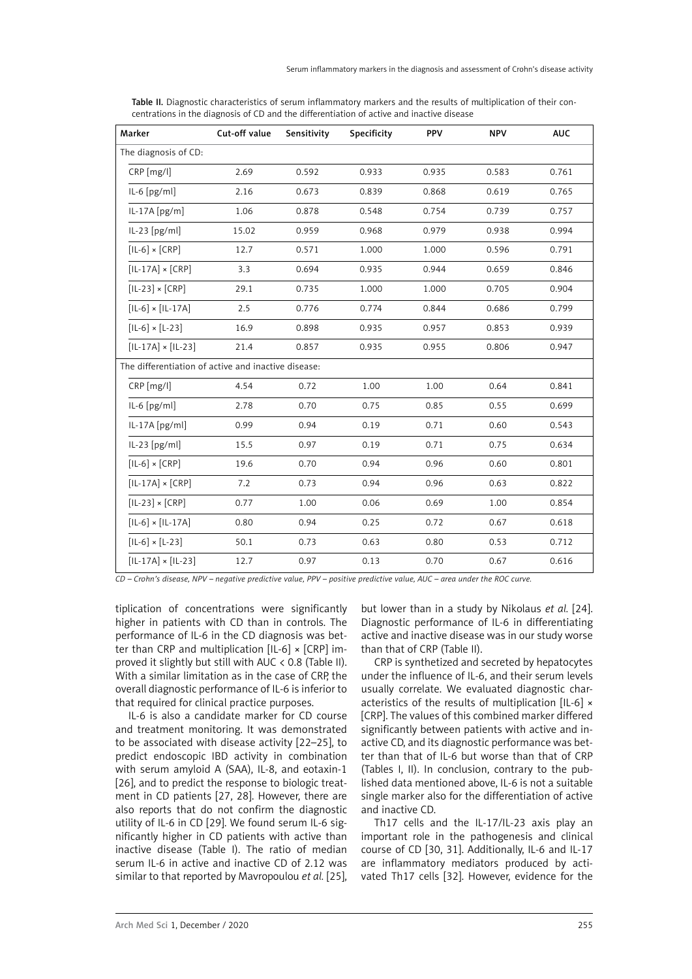| Marker                                              | Cut-off value | Sensitivity | Specificity | PPV   | <b>NPV</b> | <b>AUC</b> |
|-----------------------------------------------------|---------------|-------------|-------------|-------|------------|------------|
| The diagnosis of CD:                                |               |             |             |       |            |            |
| $CRP$ [mg/l]                                        | 2.69          | 0.592       | 0.933       | 0.935 | 0.583      | 0.761      |
| IL-6 [pg/ml]                                        | 2.16          | 0.673       | 0.839       | 0.868 | 0.619      | 0.765      |
| $IL-17A [pg/m]$                                     | 1.06          | 0.878       | 0.548       | 0.754 | 0.739      | 0.757      |
| $IL-23 [pg/ml]$                                     | 15.02         | 0.959       | 0.968       | 0.979 | 0.938      | 0.994      |
| $[IL-6] \times [CRP]$                               | 12.7          | 0.571       | 1.000       | 1.000 | 0.596      | 0.791      |
| $[IL-17A] \times [CRP]$                             | 3.3           | 0.694       | 0.935       | 0.944 | 0.659      | 0.846      |
| $[IL-23] \times [CRP]$                              | 29.1          | 0.735       | 1.000       | 1.000 | 0.705      | 0.904      |
| $[IL-6] \times [IL-17A]$                            | 2.5           | 0.776       | 0.774       | 0.844 | 0.686      | 0.799      |
| $[L-6] \times [L-23]$                               | 16.9          | 0.898       | 0.935       | 0.957 | 0.853      | 0.939      |
| $[IL-17A] \times [IL-23]$                           | 21.4          | 0.857       | 0.935       | 0.955 | 0.806      | 0.947      |
| The differentiation of active and inactive disease: |               |             |             |       |            |            |
| CRP [mg/l]                                          | 4.54          | 0.72        | 1.00        | 1.00  | 0.64       | 0.841      |
| IL-6 [pg/ml]                                        | 2.78          | 0.70        | 0.75        | 0.85  | 0.55       | 0.699      |
| IL-17A [pg/ml]                                      | 0.99          | 0.94        | 0.19        | 0.71  | 0.60       | 0.543      |
| IL-23 [pg/ml]                                       | 15.5          | 0.97        | 0.19        | 0.71  | 0.75       | 0.634      |
| $[IL-6] \times [CRP]$                               | 19.6          | 0.70        | 0.94        | 0.96  | 0.60       | 0.801      |
| $[IL-17A] \times [CRP]$                             | 7.2           | 0.73        | 0.94        | 0.96  | 0.63       | 0.822      |
| $[IL-23] \times [CRP]$                              | 0.77          | 1.00        | 0.06        | 0.69  | 1.00       | 0.854      |
| $[IL-6] \times [IL-17A]$                            | 0.80          | 0.94        | 0.25        | 0.72  | 0.67       | 0.618      |
| $[IL-6] \times [L-23]$                              | 50.1          | 0.73        | 0.63        | 0.80  | 0.53       | 0.712      |
| $[IL-17A] \times [IL-23]$                           | 12.7          | 0.97        | 0.13        | 0.70  | 0.67       | 0.616      |

Table II. Diagnostic characteristics of serum inflammatory markers and the results of multiplication of their concentrations in the diagnosis of CD and the differentiation of active and inactive disease

*CD – Crohn's disease, NPV – negative predictive value, PPV – positive predictive value, AUC – area under the ROC curve.*

tiplication of concentrations were significantly higher in patients with CD than in controls. The performance of IL-6 in the CD diagnosis was better than CRP and multiplication  $[IL-6] \times [CRP]$  improved it slightly but still with AUC  $\langle$  0.8 (Table II). With a similar limitation as in the case of CRP, the overall diagnostic performance of IL-6 is inferior to that required for clinical practice purposes.

IL-6 is also a candidate marker for CD course and treatment monitoring. It was demonstrated to be associated with disease activity [22–25], to predict endoscopic IBD activity in combination with serum amyloid A (SAA), IL-8, and eotaxin-1 [26], and to predict the response to biologic treatment in CD patients [27, 28]. However, there are also reports that do not confirm the diagnostic utility of IL-6 in CD [29]. We found serum IL-6 significantly higher in CD patients with active than inactive disease (Table I). The ratio of median serum IL-6 in active and inactive CD of 2.12 was similar to that reported by Mavropoulou *et al.* [25],

but lower than in a study by Nikolaus *et al.* [24]. Diagnostic performance of IL-6 in differentiating active and inactive disease was in our study worse than that of CRP (Table II).

CRP is synthetized and secreted by hepatocytes under the influence of IL-6, and their serum levels usually correlate. We evaluated diagnostic characteristics of the results of multiplication [IL-6] × [CRP]. The values of this combined marker differed significantly between patients with active and inactive CD, and its diagnostic performance was better than that of IL-6 but worse than that of CRP (Tables I, II). In conclusion, contrary to the published data mentioned above, IL-6 is not a suitable single marker also for the differentiation of active and inactive CD.

Th17 cells and the IL-17/IL-23 axis play an important role in the pathogenesis and clinical course of CD [30, 31]. Additionally, IL-6 and IL-17 are inflammatory mediators produced by activated Th17 cells [32]. However, evidence for the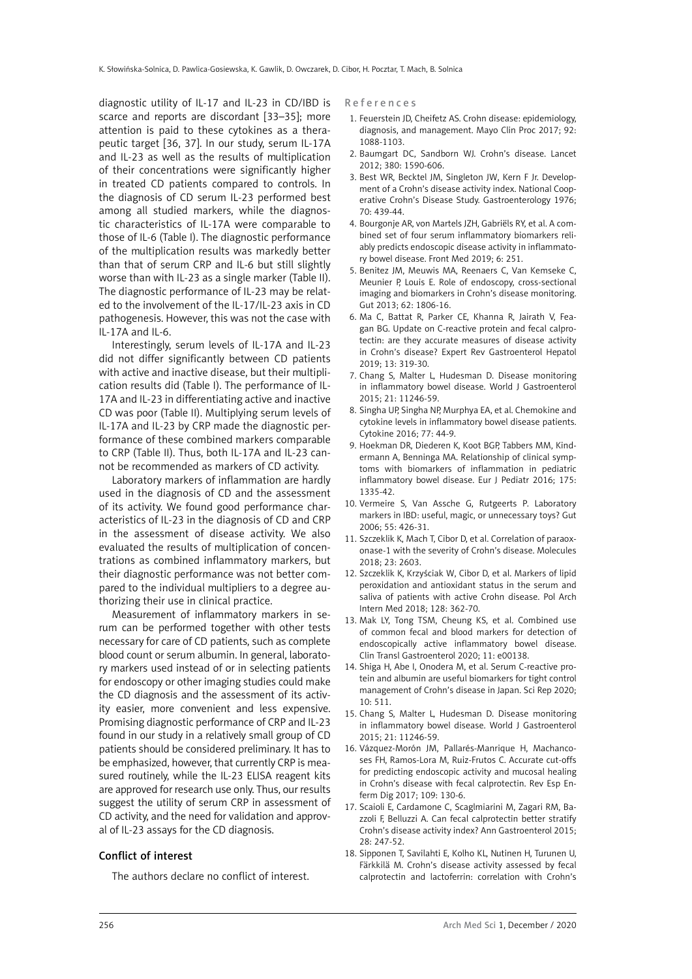diagnostic utility of IL-17 and IL-23 in CD/IBD is scarce and reports are discordant [33–35]; more attention is paid to these cytokines as a therapeutic target [36, 37]. In our study, serum IL-17A and IL-23 as well as the results of multiplication of their concentrations were significantly higher in treated CD patients compared to controls. In the diagnosis of CD serum IL-23 performed best among all studied markers, while the diagnostic characteristics of IL-17A were comparable to those of IL-6 (Table I). The diagnostic performance of the multiplication results was markedly better than that of serum CRP and IL-6 but still slightly worse than with IL-23 as a single marker (Table II). The diagnostic performance of IL-23 may be related to the involvement of the IL-17/IL-23 axis in CD pathogenesis. However, this was not the case with IL-17A and IL-6.

Interestingly, serum levels of IL-17A and IL-23 did not differ significantly between CD patients with active and inactive disease, but their multiplication results did (Table I). The performance of IL-17A and IL-23 in differentiating active and inactive CD was poor (Table II). Multiplying serum levels of IL-17A and IL-23 by CRP made the diagnostic performance of these combined markers comparable to CRP (Table II). Thus, both IL-17A and IL-23 cannot be recommended as markers of CD activity.

Laboratory markers of inflammation are hardly used in the diagnosis of CD and the assessment of its activity. We found good performance characteristics of IL-23 in the diagnosis of CD and CRP in the assessment of disease activity. We also evaluated the results of multiplication of concentrations as combined inflammatory markers, but their diagnostic performance was not better compared to the individual multipliers to a degree authorizing their use in clinical practice.

Measurement of inflammatory markers in serum can be performed together with other tests necessary for care of CD patients, such as complete blood count or serum albumin. In general, laboratory markers used instead of or in selecting patients for endoscopy or other imaging studies could make the CD diagnosis and the assessment of its activity easier, more convenient and less expensive. Promising diagnostic performance of CRP and IL-23 found in our study in a relatively small group of CD patients should be considered preliminary. It has to be emphasized, however, that currently CRP is measured routinely, while the IL-23 ELISA reagent kits are approved for research use only. Thus, our results suggest the utility of serum CRP in assessment of CD activity, and the need for validation and approval of IL-23 assays for the CD diagnosis.

## Conflict of interest

The authors declare no conflict of interest.

References

- 1. Feuerstein JD, Cheifetz AS. Crohn disease: epidemiology, diagnosis, and management. Mayo Clin Proc 2017; 92: 1088-1103.
- 2. Baumgart DC, Sandborn WJ. Crohn's disease. Lancet 2012; 380: 1590-606.
- 3. Best WR, Becktel JM, Singleton JW, Kern F Jr. Development of a Crohn's disease activity index. National Cooperative Crohn's Disease Study. Gastroenterology 1976; 70: 439-44.
- 4. Bourgonje AR, von Martels JZH, Gabriëls RY, et al. A combined set of four serum inflammatory biomarkers reliably predicts endoscopic disease activity in inflammatory bowel disease. Front Med 2019; 6: 251.
- 5. Benitez JM, Meuwis MA, Reenaers C, Van Kemseke C, Meunier P, Louis E. Role of endoscopy, cross-sectional imaging and biomarkers in Crohn's disease monitoring. Gut 2013; 62: 1806-16.
- 6. Ma C, Battat R, Parker CE, Khanna R, Jairath V, Feagan BG. Update on C-reactive protein and fecal calprotectin: are they accurate measures of disease activity in Crohn's disease? Expert Rev Gastroenterol Hepatol 2019; 13: 319-30.
- 7. Chang S, Malter L, Hudesman D. Disease monitoring in inflammatory bowel disease. World J Gastroenterol 2015; 21: 11246-59.
- 8. Singha UP, Singha NP, Murphya EA, et al. Chemokine and cytokine levels in inflammatory bowel disease patients. Cytokine 2016; 77: 44-9.
- 9. Hoekman DR, Diederen K, Koot BGP, Tabbers MM, Kindermann A, Benninga MA. Relationship of clinical symptoms with biomarkers of inflammation in pediatric inflammatory bowel disease. Eur J Pediatr 2016; 175: 1335-42.
- 10. Vermeire S, Van Assche G, Rutgeerts P. Laboratory markers in IBD: useful, magic, or unnecessary toys? Gut 2006; 55: 426-31.
- 11. Szczeklik K, Mach T, Cibor D, et al. Correlation of paraoxonase-1 with the severity of Crohn's disease. Molecules 2018; 23: 2603.
- 12. Szczeklik K, Krzyściak W, Cibor D, et al. Markers of lipid peroxidation and antioxidant status in the serum and saliva of patients with active Crohn disease. Pol Arch Intern Med 2018; 128: 362-70.
- 13. Mak LY, Tong TSM, Cheung KS, et al. Combined use of common fecal and blood markers for detection of endoscopically active inflammatory bowel disease. Clin Transl Gastroenterol 2020; 11: e00138.
- 14. Shiga H, Abe I, Onodera M, et al. Serum C-reactive protein and albumin are useful biomarkers for tight control management of Crohn's disease in Japan. Sci Rep 2020; 10: 511.
- 15. Chang S, Malter L, Hudesman D. Disease monitoring in inflammatory bowel disease. World J Gastroenterol 2015; 21: 11246-59.
- 16. Vázquez-Morón JM, Pallarés-Manrique H, Machancoses FH, Ramos-Lora M, Ruiz-Frutos C. Accurate cut-offs for predicting endoscopic activity and mucosal healing in Crohn's disease with fecal calprotectin. Rev Esp Enferm Dig 2017; 109: 130-6.
- 17. Scaioli E, Cardamone C, Scaglmiarini M, Zagari RM, Bazzoli F, Belluzzi A. Can fecal calprotectin better stratify Crohn's disease activity index? Ann Gastroenterol 2015; 28: 247-52.
- 18. Sipponen T, Savilahti E, Kolho KL, Nutinen H, Turunen U, Färkkilä M. Crohn's disease activity assessed by fecal calprotectin and lactoferrin: correlation with Crohn's